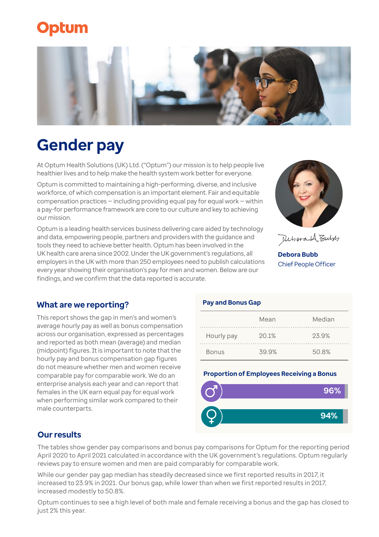## **Optum**



# **Gender pay**

At Optum Health Solutions (UK) Ltd. ("Optum") our mission is to help people live healthier lives and to help make the health system work better for everyone.

Optum is committed to maintaining a high-performing, diverse, and inclusive workforce, of which compensation is an important element. Fair and equitable compensation practices — including providing equal pay for equal work — within a pay-for performance framework are core to our culture and key to achieving our mission.

Optum is a leading health services business delivering care aided by technology and data, empowering people, partners and providers with the guidance and tools they need to achieve better health. Optum has been involved in the UK health care arena since 2002. Under the UK government's regulations, all employers in the UK with more than 250 employees need to publish calculations every year showing their organisation's pay for men and women. Below are our findings, and we confirm that the data reported is accurate.



Debora 1A Bulds

**Debora Bubb** Chief People Officer

## **What are we reporting?**

This report shows the gap in men's and women's average hourly pay as well as bonus compensation across our organisation, expressed as percentages and reported as both mean (average) and median (midpoint) figures. It is important to note that the hourly pay and bonus compensation gap figures do not measure whether men and women receive comparable pay for comparable work. We do an enterprise analysis each year and can report that females in the UK earn equal pay for equal work when performing similar work compared to their male counterparts.

#### **Pay and Bonus Gap**

|              | Mean  | Median |
|--------------|-------|--------|
| Hourly pay   | 20.1% | 23.9%  |
| <b>Bonus</b> | 39.9% | 50.8%  |

#### **Proportion of Employees Receiving a Bonus**



## **Our results**

The tables show gender pay comparisons and bonus pay comparisons for Optum for the reporting period April 2020 to April 2021 calculated in accordance with the UK government's regulations. Optum regularly reviews pay to ensure women and men are paid comparably for comparable work.

While our gender pay gap median has steadily decreased since we first reported results in 2017, it increased to 23.9% in 2021. Our bonus gap, while lower than when we first reported results in 2017, increased modestly to 50.8%.

Optum continues to see a high level of both male and female receiving a bonus and the gap has closed to just 2% this year.